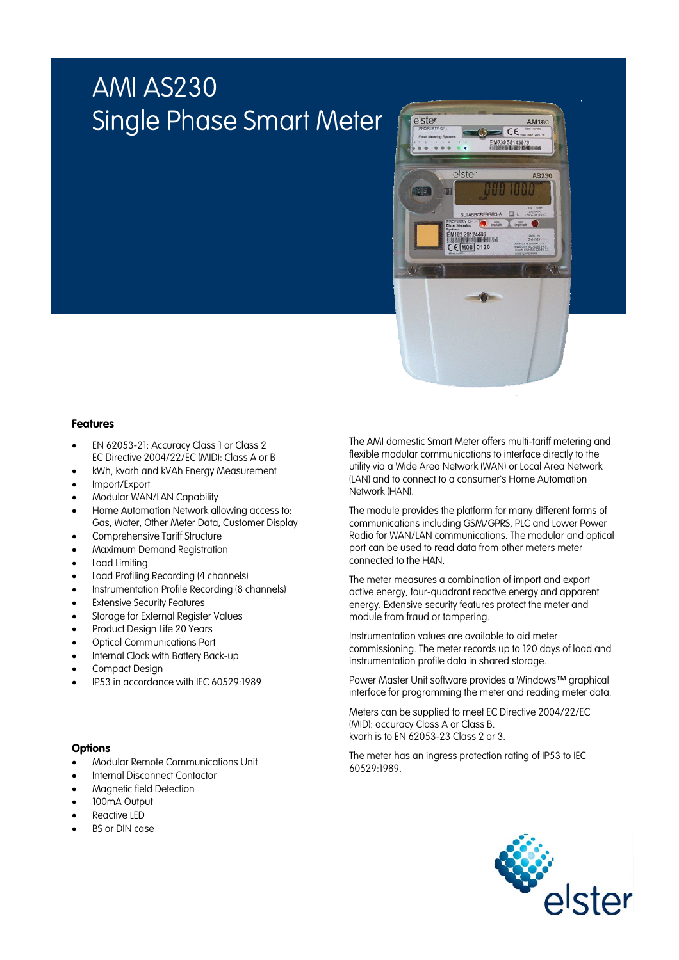# AMI AS230 Single Phase Smart Meter



### **Features**

- EN 62053-21: Accuracy Class 1 or Class 2 EC Directive 2004/22/EC (MID): Class A or B
- kWh, kvarh and kVAh Energy Measurement
- Import/Export
- Modular WAN/LAN Capability
- Home Automation Network allowing access to: Gas, Water, Other Meter Data, Customer Display
- Comprehensive Tariff Structure
- Maximum Demand Registration
- Load Limiting
- Load Profiling Recording (4 channels)
- Instrumentation Profile Recording (8 channels)
- **Extensive Security Features**
- Storage for External Register Values
- Product Design Life 20 Years
- Optical Communications Port
- Internal Clock with Battery Back-up
- Compact Design
- IP53 in accordance with IEC 60529:1989

### **Options**

- Modular Remote Communications Unit
- Internal Disconnect Contactor
- Magnetic field Detection
- 100mA Output
- Reactive LED
- **BS or DIN case**

The AMI domestic Smart Meter offers multi-tariff metering and flexible modular communications to interface directly to the utility via a Wide Area Network (WAN) or Local Area Network (LAN) and to connect to a consumer's Home Automation Network (HAN).

The module provides the platform for many different forms of communications including GSM/GPRS, PLC and Lower Power Radio for WAN/LAN communications. The modular and optical port can be used to read data from other meters meter connected to the HAN.

The meter measures a combination of import and export active energy, four-quadrant reactive energy and apparent energy. Extensive security features protect the meter and module from fraud or tampering.

Instrumentation values are available to aid meter commissioning. The meter records up to 120 days of load and instrumentation profile data in shared storage.

Power Master Unit software provides a Windows™ graphical interface for programming the meter and reading meter data.

Meters can be supplied to meet EC Directive 2004/22/EC (MID): accuracy Class A or Class B. kvarh is to EN 62053-23 Class 2 or 3.

The meter has an ingress protection rating of IP53 to IEC 60529:1989.